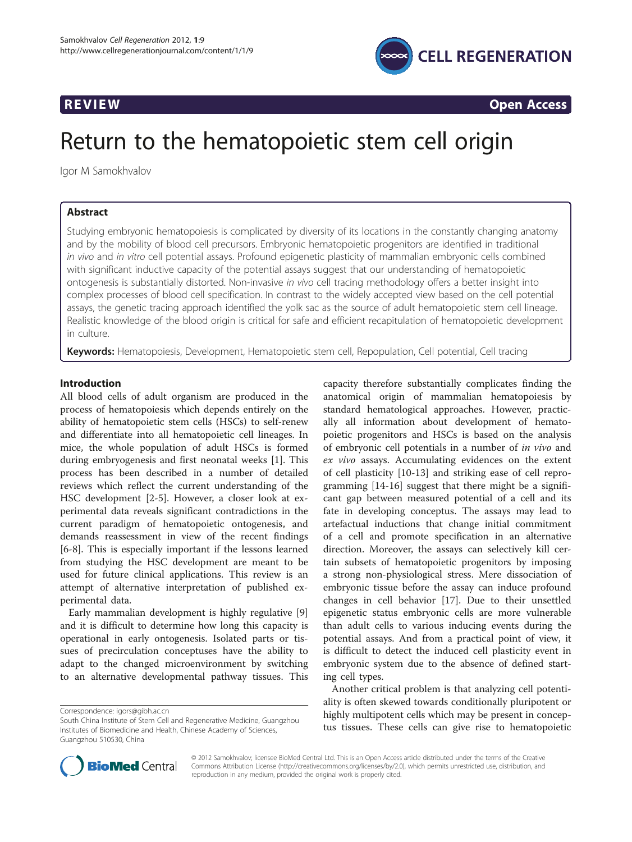

**REVIEW CONSIDERING CONSIDERING CONSIDERING CONSIDERING CONSIDERING CONSIDERING CONSIDERING CONSIDERING CONSIDERING CONSIDERING CONSIDERING CONSIDERING CONSIDERING CONSIDERING CONSIDERING CONSIDERING CONSIDERING CONSIDER** 

# Return to the hematopoietic stem cell origin

Igor M Samokhvalov

# Abstract

Studying embryonic hematopoiesis is complicated by diversity of its locations in the constantly changing anatomy and by the mobility of blood cell precursors. Embryonic hematopoietic progenitors are identified in traditional in vivo and in vitro cell potential assays. Profound epigenetic plasticity of mammalian embryonic cells combined with significant inductive capacity of the potential assays suggest that our understanding of hematopoietic ontogenesis is substantially distorted. Non-invasive in vivo cell tracing methodology offers a better insight into complex processes of blood cell specification. In contrast to the widely accepted view based on the cell potential assays, the genetic tracing approach identified the yolk sac as the source of adult hematopoietic stem cell lineage. Realistic knowledge of the blood origin is critical for safe and efficient recapitulation of hematopoietic development in culture.

Keywords: Hematopoiesis, Development, Hematopoietic stem cell, Repopulation, Cell potential, Cell tracing

# Introduction

All blood cells of adult organism are produced in the process of hematopoiesis which depends entirely on the ability of hematopoietic stem cells (HSCs) to self-renew and differentiate into all hematopoietic cell lineages. In mice, the whole population of adult HSCs is formed during embryogenesis and first neonatal weeks [[1\]](#page-7-0). This process has been described in a number of detailed reviews which reflect the current understanding of the HSC development [[2-5](#page-7-0)]. However, a closer look at experimental data reveals significant contradictions in the current paradigm of hematopoietic ontogenesis, and demands reassessment in view of the recent findings [[6-8](#page-7-0)]. This is especially important if the lessons learned from studying the HSC development are meant to be used for future clinical applications. This review is an attempt of alternative interpretation of published experimental data.

Early mammalian development is highly regulative [\[9](#page-7-0)] and it is difficult to determine how long this capacity is operational in early ontogenesis. Isolated parts or tissues of precirculation conceptuses have the ability to adapt to the changed microenvironment by switching to an alternative developmental pathway tissues. This

Correspondence: [igors@gibh.ac.cn](mailto:igors@gibh.ac.cn)

capacity therefore substantially complicates finding the anatomical origin of mammalian hematopoiesis by standard hematological approaches. However, practically all information about development of hematopoietic progenitors and HSCs is based on the analysis of embryonic cell potentials in a number of in vivo and ex vivo assays. Accumulating evidences on the extent of cell plasticity [[10-13](#page-7-0)] and striking ease of cell reprogramming [\[14](#page-7-0)-[16\]](#page-7-0) suggest that there might be a significant gap between measured potential of a cell and its fate in developing conceptus. The assays may lead to artefactual inductions that change initial commitment of a cell and promote specification in an alternative direction. Moreover, the assays can selectively kill certain subsets of hematopoietic progenitors by imposing a strong non-physiological stress. Mere dissociation of embryonic tissue before the assay can induce profound changes in cell behavior [\[17](#page-7-0)]. Due to their unsettled epigenetic status embryonic cells are more vulnerable than adult cells to various inducing events during the potential assays. And from a practical point of view, it is difficult to detect the induced cell plasticity event in embryonic system due to the absence of defined starting cell types.

Another critical problem is that analyzing cell potentiality is often skewed towards conditionally pluripotent or highly multipotent cells which may be present in conceptus tissues. These cells can give rise to hematopoietic



© 2012 Samokhvalov; licensee BioMed Central Ltd. This is an Open Access article distributed under the terms of the Creative Commons Attribution License [\(http://creativecommons.org/licenses/by/2.0\)](http://creativecommons.org/licenses/by/2.0), which permits unrestricted use, distribution, and reproduction in any medium, provided the original work is properly cited.

South China Institute of Stem Cell and Regenerative Medicine, Guangzhou Institutes of Biomedicine and Health, Chinese Academy of Sciences, Guangzhou 510530, China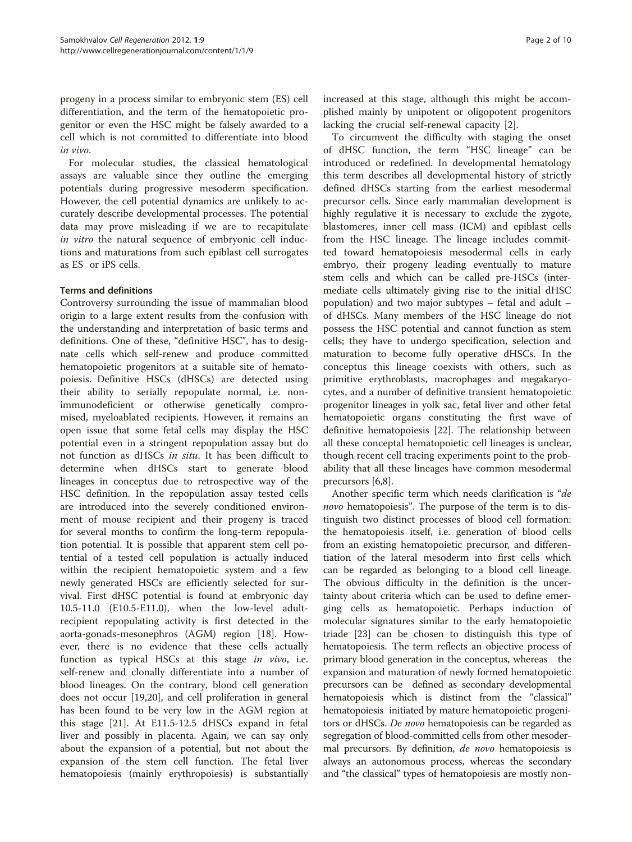progeny in a process similar to embryonic stem (ES) cell differentiation, and the term of the hematopoietic progenitor or even the HSC might be falsely awarded to a cell which is not committed to differentiate into blood in vivo.

For molecular studies, the classical hematological assays are valuable since they outline the emerging potentials during progressive mesoderm specification. However, the cell potential dynamics are unlikely to accurately describe developmental processes. The potential data may prove misleading if we are to recapitulate in vitro the natural sequence of embryonic cell inductions and maturations from such epiblast cell surrogates as ES or iPS cells.

# Terms and definitions

Controversy surrounding the issue of mammalian blood origin to a large extent results from the confusion with the understanding and interpretation of basic terms and definitions. One of these, "definitive HSC", has to designate cells which self-renew and produce committed hematopoietic progenitors at a suitable site of hematopoiesis. Definitive HSCs (dHSCs) are detected using their ability to serially repopulate normal, i.e. nonimmunodeficient or otherwise genetically compromised, myeloablated recipients. However, it remains an open issue that some fetal cells may display the HSC potential even in a stringent repopulation assay but do not function as dHSCs in situ. It has been difficult to determine when dHSCs start to generate blood lineages in conceptus due to retrospective way of the HSC definition. In the repopulation assay tested cells are introduced into the severely conditioned environment of mouse recipient and their progeny is traced for several months to confirm the long-term repopulation potential. It is possible that apparent stem cell potential of a tested cell population is actually induced within the recipient hematopoietic system and a few newly generated HSCs are efficiently selected for survival. First dHSC potential is found at embryonic day 10.5-11.0 (E10.5-E11.0), when the low-level adultrecipient repopulating activity is first detected in the aorta-gonads-mesonephros (AGM) region [[18\]](#page-8-0). However, there is no evidence that these cells actually function as typical HSCs at this stage in vivo, i.e. self-renew and clonally differentiate into a number of blood lineages. On the contrary, blood cell generation does not occur [[19,20](#page-8-0)], and cell proliferation in general has been found to be very low in the AGM region at this stage [\[21](#page-8-0)]. At E11.5-12.5 dHSCs expand in fetal liver and possibly in placenta. Again, we can say only about the expansion of a potential, but not about the expansion of the stem cell function. The fetal liver hematopoiesis (mainly erythropoiesis) is substantially

increased at this stage, although this might be accomplished mainly by unipotent or oligopotent progenitors lacking the crucial self-renewal capacity [[2](#page-7-0)].

To circumvent the difficulty with staging the onset of dHSC function, the term "HSC lineage" can be introduced or redefined. In developmental hematology this term describes all developmental history of strictly defined dHSCs starting from the earliest mesodermal precursor cells. Since early mammalian development is highly regulative it is necessary to exclude the zygote, blastomeres, inner cell mass (ICM) and epiblast cells from the HSC lineage. The lineage includes committed toward hematopoiesis mesodermal cells in early embryo, their progeny leading eventually to mature stem cells and which can be called pre-HSCs (intermediate cells ultimately giving rise to the initial dHSC population) and two major subtypes – fetal and adult – of dHSCs. Many members of the HSC lineage do not possess the HSC potential and cannot function as stem cells; they have to undergo specification, selection and maturation to become fully operative dHSCs. In the conceptus this lineage coexists with others, such as primitive erythroblasts, macrophages and megakaryocytes, and a number of definitive transient hematopoietic progenitor lineages in yolk sac, fetal liver and other fetal hematopoietic organs constituting the first wave of definitive hematopoiesis [\[22](#page-8-0)]. The relationship between all these conceptal hematopoietic cell lineages is unclear, though recent cell tracing experiments point to the probability that all these lineages have common mesodermal precursors [[6,8\]](#page-7-0).

Another specific term which needs clarification is "de novo hematopoiesis". The purpose of the term is to distinguish two distinct processes of blood cell formation: the hematopoiesis itself, i.e. generation of blood cells from an existing hematopoietic precursor, and differentiation of the lateral mesoderm into first cells which can be regarded as belonging to a blood cell lineage. The obvious difficulty in the definition is the uncertainty about criteria which can be used to define emerging cells as hematopoietic. Perhaps induction of molecular signatures similar to the early hematopoietic triade [[23\]](#page-8-0) can be chosen to distinguish this type of hematopoiesis. The term reflects an objective process of primary blood generation in the conceptus, whereas the expansion and maturation of newly formed hematopoietic precursors can be defined as secondary developmental hematopoiesis which is distinct from the "classical" hematopoiesis initiated by mature hematopoietic progenitors or dHSCs. De novo hematopoiesis can be regarded as segregation of blood-committed cells from other mesodermal precursors. By definition, *de novo* hematopoiesis is always an autonomous process, whereas the secondary and "the classical" types of hematopoiesis are mostly non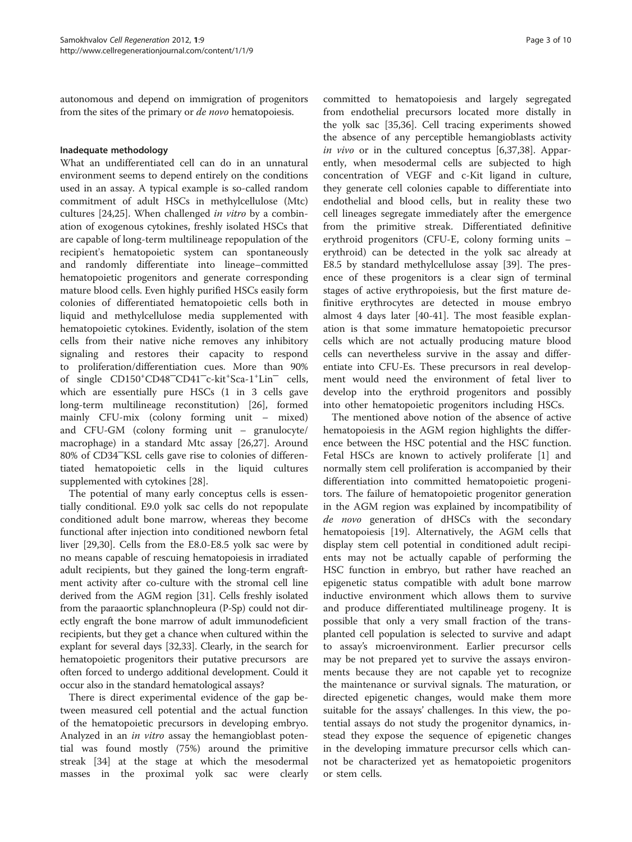autonomous and depend on immigration of progenitors from the sites of the primary or *de novo* hematopoiesis.

# Inadequate methodology

What an undifferentiated cell can do in an unnatural environment seems to depend entirely on the conditions used in an assay. A typical example is so-called random commitment of adult HSCs in methylcellulose (Mtc) cultures [[24,25\]](#page-8-0). When challenged in vitro by a combination of exogenous cytokines, freshly isolated HSCs that are capable of long-term multilineage repopulation of the recipient's hematopoietic system can spontaneously and randomly differentiate into lineage–committed hematopoietic progenitors and generate corresponding mature blood cells. Even highly purified HSCs easily form colonies of differentiated hematopoietic cells both in liquid and methylcellulose media supplemented with hematopoietic cytokines. Evidently, isolation of the stem cells from their native niche removes any inhibitory signaling and restores their capacity to respond to proliferation/differentiation cues. More than 90% of single CD150<sup>+</sup>CD48<sup>-</sup>CD41<sup>-c</sup>-kit<sup>+</sup>Sca-1<sup>+</sup>Lin<sup>-</sup> cells, which are essentially pure HSCs (1 in 3 cells gave long-term multilineage reconstitution) [\[26](#page-8-0)], formed mainly CFU-mix (colony forming unit – mixed) and CFU-GM (colony forming unit – granulocyte/ macrophage) in a standard Mtc assay [[26,27\]](#page-8-0). Around 80% of CD34─KSL cells gave rise to colonies of differentiated hematopoietic cells in the liquid cultures supplemented with cytokines [\[28\]](#page-8-0).

The potential of many early conceptus cells is essentially conditional. E9.0 yolk sac cells do not repopulate conditioned adult bone marrow, whereas they become functional after injection into conditioned newborn fetal liver [[29](#page-8-0),[30](#page-8-0)]. Cells from the E8.0-E8.5 yolk sac were by no means capable of rescuing hematopoiesis in irradiated adult recipients, but they gained the long-term engraftment activity after co-culture with the stromal cell line derived from the AGM region [\[31\]](#page-8-0). Cells freshly isolated from the paraaortic splanchnopleura (P-Sp) could not directly engraft the bone marrow of adult immunodeficient recipients, but they get a chance when cultured within the explant for several days [\[32,33](#page-8-0)]. Clearly, in the search for hematopoietic progenitors their putative precursors are often forced to undergo additional development. Could it occur also in the standard hematological assays?

There is direct experimental evidence of the gap between measured cell potential and the actual function of the hematopoietic precursors in developing embryo. Analyzed in an *in vitro* assay the hemangioblast potential was found mostly (75%) around the primitive streak [\[34](#page-8-0)] at the stage at which the mesodermal masses in the proximal yolk sac were clearly

committed to hematopoiesis and largely segregated from endothelial precursors located more distally in the yolk sac [[35,36\]](#page-8-0). Cell tracing experiments showed the absence of any perceptible hemangioblasts activity in vivo or in the cultured conceptus [[6,](#page-7-0)[37,38\]](#page-8-0). Apparently, when mesodermal cells are subjected to high concentration of VEGF and c-Kit ligand in culture, they generate cell colonies capable to differentiate into endothelial and blood cells, but in reality these two cell lineages segregate immediately after the emergence from the primitive streak. Differentiated definitive erythroid progenitors (CFU-E, colony forming units – erythroid) can be detected in the yolk sac already at E8.5 by standard methylcellulose assay [\[39](#page-8-0)]. The presence of these progenitors is a clear sign of terminal stages of active erythropoiesis, but the first mature definitive erythrocytes are detected in mouse embryo almost 4 days later [[40](#page-8-0)-[41\]](#page-8-0). The most feasible explanation is that some immature hematopoietic precursor cells which are not actually producing mature blood cells can nevertheless survive in the assay and differentiate into CFU-Es. These precursors in real development would need the environment of fetal liver to develop into the erythroid progenitors and possibly into other hematopoietic progenitors including HSCs.

The mentioned above notion of the absence of active hematopoiesis in the AGM region highlights the difference between the HSC potential and the HSC function. Fetal HSCs are known to actively proliferate [[1\]](#page-7-0) and normally stem cell proliferation is accompanied by their differentiation into committed hematopoietic progenitors. The failure of hematopoietic progenitor generation in the AGM region was explained by incompatibility of de novo generation of dHSCs with the secondary hematopoiesis [\[19](#page-8-0)]. Alternatively, the AGM cells that display stem cell potential in conditioned adult recipients may not be actually capable of performing the HSC function in embryo, but rather have reached an epigenetic status compatible with adult bone marrow inductive environment which allows them to survive and produce differentiated multilineage progeny. It is possible that only a very small fraction of the transplanted cell population is selected to survive and adapt to assay's microenvironment. Earlier precursor cells may be not prepared yet to survive the assays environments because they are not capable yet to recognize the maintenance or survival signals. The maturation, or directed epigenetic changes, would make them more suitable for the assays' challenges. In this view, the potential assays do not study the progenitor dynamics, instead they expose the sequence of epigenetic changes in the developing immature precursor cells which cannot be characterized yet as hematopoietic progenitors or stem cells.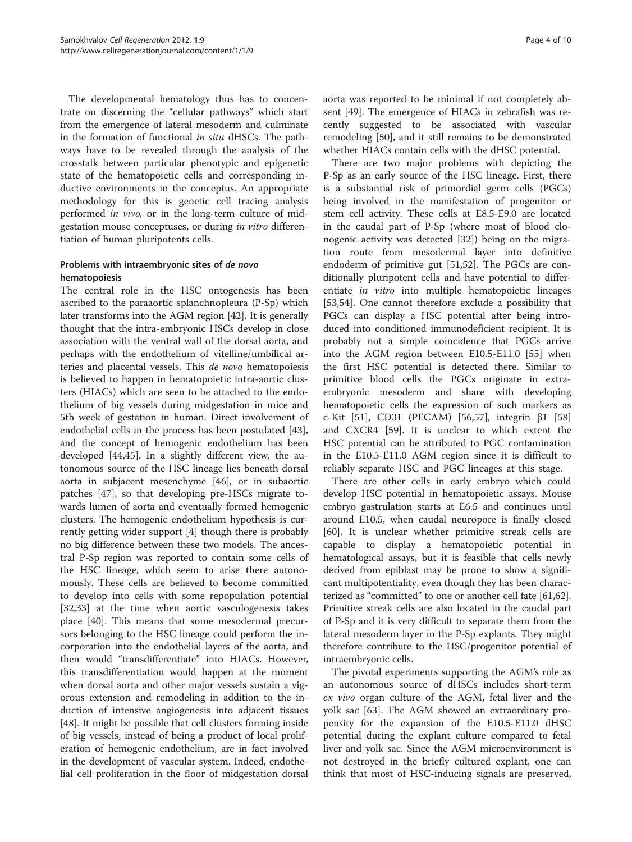The developmental hematology thus has to concentrate on discerning the "cellular pathways" which start from the emergence of lateral mesoderm and culminate in the formation of functional in situ dHSCs. The pathways have to be revealed through the analysis of the crosstalk between particular phenotypic and epigenetic state of the hematopoietic cells and corresponding inductive environments in the conceptus. An appropriate methodology for this is genetic cell tracing analysis performed in vivo, or in the long-term culture of midgestation mouse conceptuses, or during in vitro differentiation of human pluripotents cells.

# Problems with intraembryonic sites of de novo hematopoiesis

The central role in the HSC ontogenesis has been ascribed to the paraaortic splanchnopleura (P-Sp) which later transforms into the AGM region [[42](#page-8-0)]. It is generally thought that the intra-embryonic HSCs develop in close association with the ventral wall of the dorsal aorta, and perhaps with the endothelium of vitelline/umbilical arteries and placental vessels. This de novo hematopoiesis is believed to happen in hematopoietic intra-aortic clusters (HIACs) which are seen to be attached to the endothelium of big vessels during midgestation in mice and 5th week of gestation in human. Direct involvement of endothelial cells in the process has been postulated [\[43](#page-8-0)], and the concept of hemogenic endothelium has been developed [[44,45\]](#page-8-0). In a slightly different view, the autonomous source of the HSC lineage lies beneath dorsal aorta in subjacent mesenchyme [\[46](#page-8-0)], or in subaortic patches [\[47](#page-8-0)], so that developing pre-HSCs migrate towards lumen of aorta and eventually formed hemogenic clusters. The hemogenic endothelium hypothesis is currently getting wider support [\[4](#page-7-0)] though there is probably no big difference between these two models. The ancestral P-Sp region was reported to contain some cells of the HSC lineage, which seem to arise there autonomously. These cells are believed to become committed to develop into cells with some repopulation potential [[32,33\]](#page-8-0) at the time when aortic vasculogenesis takes place [\[40](#page-8-0)]. This means that some mesodermal precursors belonging to the HSC lineage could perform the incorporation into the endothelial layers of the aorta, and then would "transdifferentiate" into HIACs. However, this transdifferentiation would happen at the moment when dorsal aorta and other major vessels sustain a vigorous extension and remodeling in addition to the induction of intensive angiogenesis into adjacent tissues [[48\]](#page-8-0). It might be possible that cell clusters forming inside of big vessels, instead of being a product of local proliferation of hemogenic endothelium, are in fact involved in the development of vascular system. Indeed, endothelial cell proliferation in the floor of midgestation dorsal

aorta was reported to be minimal if not completely absent [\[49\]](#page-8-0). The emergence of HIACs in zebrafish was recently suggested to be associated with vascular remodeling [[50](#page-8-0)], and it still remains to be demonstrated whether HIACs contain cells with the dHSC potential.

There are two major problems with depicting the P-Sp as an early source of the HSC lineage. First, there is a substantial risk of primordial germ cells (PGCs) being involved in the manifestation of progenitor or stem cell activity. These cells at E8.5-E9.0 are located in the caudal part of P-Sp (where most of blood clonogenic activity was detected [\[32\]](#page-8-0)) being on the migration route from mesodermal layer into definitive endoderm of primitive gut [\[51,52\]](#page-8-0). The PGCs are conditionally pluripotent cells and have potential to differentiate in vitro into multiple hematopoietic lineages [[53,54\]](#page-8-0). One cannot therefore exclude a possibility that PGCs can display a HSC potential after being introduced into conditioned immunodeficient recipient. It is probably not a simple coincidence that PGCs arrive into the AGM region between E10.5-E11.0 [[55](#page-8-0)] when the first HSC potential is detected there. Similar to primitive blood cells the PGCs originate in extraembryonic mesoderm and share with developing hematopoietic cells the expression of such markers as c-Kit [\[51](#page-8-0)], CD31 (PECAM) [\[56,57\]](#page-8-0), integrin β1 [[58](#page-8-0)] and CXCR4 [\[59\]](#page-8-0). It is unclear to which extent the HSC potential can be attributed to PGC contamination in the E10.5-E11.0 AGM region since it is difficult to reliably separate HSC and PGC lineages at this stage.

There are other cells in early embryo which could develop HSC potential in hematopoietic assays. Mouse embryo gastrulation starts at E6.5 and continues until around E10.5, when caudal neuropore is finally closed [[60\]](#page-8-0). It is unclear whether primitive streak cells are capable to display a hematopoietic potential in hematological assays, but it is feasible that cells newly derived from epiblast may be prone to show a significant multipotentiality, even though they has been characterized as "committed" to one or another cell fate [\[61,62](#page-8-0)]. Primitive streak cells are also located in the caudal part of P-Sp and it is very difficult to separate them from the lateral mesoderm layer in the P-Sp explants. They might therefore contribute to the HSC/progenitor potential of intraembryonic cells.

The pivotal experiments supporting the AGM's role as an autonomous source of dHSCs includes short-term ex vivo organ culture of the AGM, fetal liver and the yolk sac [[63\]](#page-8-0). The AGM showed an extraordinary propensity for the expansion of the E10.5-E11.0 dHSC potential during the explant culture compared to fetal liver and yolk sac. Since the AGM microenvironment is not destroyed in the briefly cultured explant, one can think that most of HSC-inducing signals are preserved,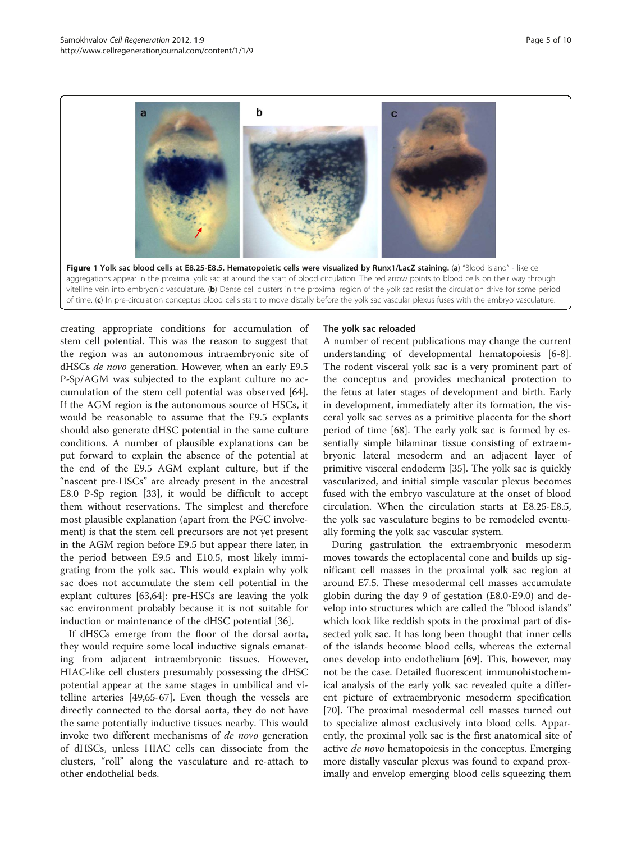<span id="page-4-0"></span>

creating appropriate conditions for accumulation of stem cell potential. This was the reason to suggest that the region was an autonomous intraembryonic site of dHSCs de novo generation. However, when an early E9.5 P-Sp/AGM was subjected to the explant culture no accumulation of the stem cell potential was observed [\[64](#page-9-0)]. If the AGM region is the autonomous source of HSCs, it would be reasonable to assume that the E9.5 explants should also generate dHSC potential in the same culture conditions. A number of plausible explanations can be put forward to explain the absence of the potential at the end of the E9.5 AGM explant culture, but if the "nascent pre-HSCs" are already present in the ancestral E8.0 P-Sp region [[33\]](#page-8-0), it would be difficult to accept them without reservations. The simplest and therefore most plausible explanation (apart from the PGC involvement) is that the stem cell precursors are not yet present in the AGM region before E9.5 but appear there later, in the period between E9.5 and E10.5, most likely immigrating from the yolk sac. This would explain why yolk sac does not accumulate the stem cell potential in the explant cultures [\[63](#page-8-0)[,64\]](#page-9-0): pre-HSCs are leaving the yolk sac environment probably because it is not suitable for induction or maintenance of the dHSC potential [[36\]](#page-8-0).

If dHSCs emerge from the floor of the dorsal aorta, they would require some local inductive signals emanating from adjacent intraembryonic tissues. However, HIAC-like cell clusters presumably possessing the dHSC potential appear at the same stages in umbilical and vitelline arteries [[49](#page-8-0),[65](#page-9-0)-[67\]](#page-9-0). Even though the vessels are directly connected to the dorsal aorta, they do not have the same potentially inductive tissues nearby. This would invoke two different mechanisms of de novo generation of dHSCs, unless HIAC cells can dissociate from the clusters, "roll" along the vasculature and re-attach to other endothelial beds.

#### The yolk sac reloaded

A number of recent publications may change the current understanding of developmental hematopoiesis [[6-8](#page-7-0)]. The rodent visceral yolk sac is a very prominent part of the conceptus and provides mechanical protection to the fetus at later stages of development and birth. Early in development, immediately after its formation, the visceral yolk sac serves as a primitive placenta for the short period of time [\[68](#page-9-0)]. The early yolk sac is formed by essentially simple bilaminar tissue consisting of extraembryonic lateral mesoderm and an adjacent layer of primitive visceral endoderm [\[35\]](#page-8-0). The yolk sac is quickly vascularized, and initial simple vascular plexus becomes fused with the embryo vasculature at the onset of blood circulation. When the circulation starts at E8.25-E8.5, the yolk sac vasculature begins to be remodeled eventually forming the yolk sac vascular system.

During gastrulation the extraembryonic mesoderm moves towards the ectoplacental cone and builds up significant cell masses in the proximal yolk sac region at around E7.5. These mesodermal cell masses accumulate globin during the day 9 of gestation (E8.0-E9.0) and develop into structures which are called the "blood islands" which look like reddish spots in the proximal part of dissected yolk sac. It has long been thought that inner cells of the islands become blood cells, whereas the external ones develop into endothelium [[69\]](#page-9-0). This, however, may not be the case. Detailed fluorescent immunohistochemical analysis of the early yolk sac revealed quite a different picture of extraembryonic mesoderm specification [[70\]](#page-9-0). The proximal mesodermal cell masses turned out to specialize almost exclusively into blood cells. Apparently, the proximal yolk sac is the first anatomical site of active *de novo* hematopoiesis in the conceptus. Emerging more distally vascular plexus was found to expand proximally and envelop emerging blood cells squeezing them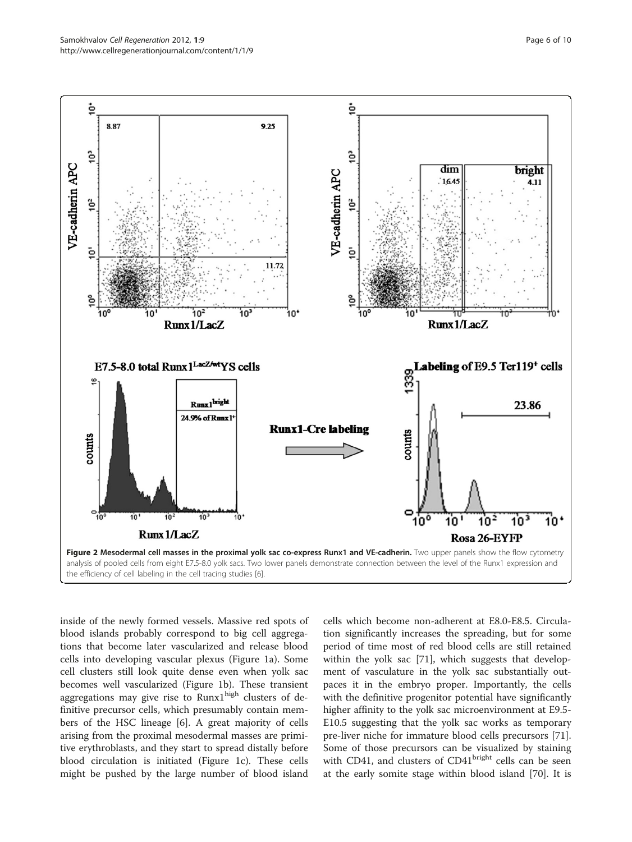<span id="page-5-0"></span>

the efficiency of cell labeling in the cell tracing studies [\[6](#page-7-0)].

inside of the newly formed vessels. Massive red spots of blood islands probably correspond to big cell aggregations that become later vascularized and release blood cells into developing vascular plexus (Figure [1a](#page-4-0)). Some cell clusters still look quite dense even when yolk sac becomes well vascularized (Figure [1b](#page-4-0)). These transient aggregations may give rise to  $Runx1^{high}$  clusters of definitive precursor cells, which presumably contain members of the HSC lineage [\[6](#page-7-0)]. A great majority of cells arising from the proximal mesodermal masses are primitive erythroblasts, and they start to spread distally before blood circulation is initiated (Figure [1c](#page-4-0)). These cells might be pushed by the large number of blood island cells which become non-adherent at E8.0-E8.5. Circulation significantly increases the spreading, but for some period of time most of red blood cells are still retained within the yolk sac [\[71\]](#page-9-0), which suggests that development of vasculature in the yolk sac substantially outpaces it in the embryo proper. Importantly, the cells with the definitive progenitor potential have significantly higher affinity to the yolk sac microenvironment at E9.5- E10.5 suggesting that the yolk sac works as temporary pre-liver niche for immature blood cells precursors [\[71](#page-9-0)]. Some of those precursors can be visualized by staining with CD41, and clusters of CD41<sup>bright</sup> cells can be seen at the early somite stage within blood island [\[70\]](#page-9-0). It is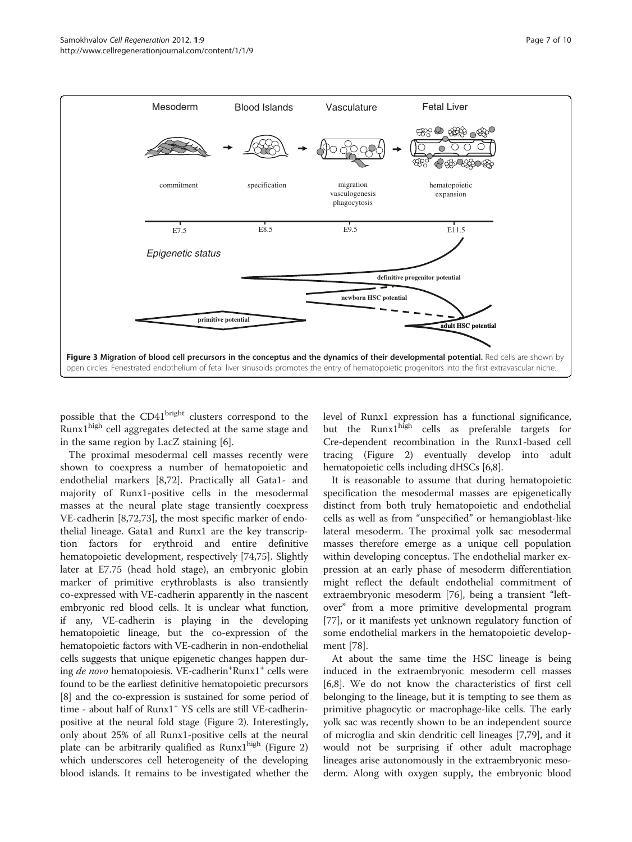<span id="page-6-0"></span>

possible that the CD41<sup>bright</sup> clusters correspond to the Runx $1^{high}$  cell aggregates detected at the same stage and in the same region by LacZ staining [\[6](#page-7-0)].

The proximal mesodermal cell masses recently were shown to coexpress a number of hematopoietic and endothelial markers [[8,](#page-7-0)[72\]](#page-9-0). Practically all Gata1- and majority of Runx1-positive cells in the mesodermal masses at the neural plate stage transiently coexpress VE-cadherin [\[8](#page-7-0)[,72,73\]](#page-9-0), the most specific marker of endothelial lineage. Gata1 and Runx1 are the key transcription factors for erythroid and entire definitive hematopoietic development, respectively [[74,75\]](#page-9-0). Slightly later at E7.75 (head hold stage), an embryonic globin marker of primitive erythroblasts is also transiently co-expressed with VE-cadherin apparently in the nascent embryonic red blood cells. It is unclear what function, if any, VE-cadherin is playing in the developing hematopoietic lineage, but the co-expression of the hematopoietic factors with VE-cadherin in non-endothelial cells suggests that unique epigenetic changes happen during de novo hematopoiesis. VE-cadherin<sup>+</sup>Runx1<sup>+</sup> cells were found to be the earliest definitive hematopoietic precursors [[8](#page-7-0)] and the co-expression is sustained for some period of time - about half of Runx1<sup>+</sup> YS cells are still VE-cadherinpositive at the neural fold stage (Figure [2](#page-5-0)). Interestingly, only about 25% of all Runx1-positive cells at the neural plate can be arbitrarily qualified as  $Runx1^{high}$  (Figure [2](#page-5-0)) which underscores cell heterogeneity of the developing blood islands. It remains to be investigated whether the level of Runx1 expression has a functional significance, but the Runx1<sup>high</sup> cells as preferable targets for Cre-dependent recombination in the Runx1-based cell tracing (Figure [2](#page-5-0)) eventually develop into adult hematopoietic cells including dHSCs [[6,8](#page-7-0)].

It is reasonable to assume that during hematopoietic specification the mesodermal masses are epigenetically distinct from both truly hematopoietic and endothelial cells as well as from "unspecified" or hemangioblast-like lateral mesoderm. The proximal yolk sac mesodermal masses therefore emerge as a unique cell population within developing conceptus. The endothelial marker expression at an early phase of mesoderm differentiation might reflect the default endothelial commitment of extraembryonic mesoderm [\[76](#page-9-0)], being a transient "leftover" from a more primitive developmental program [[77\]](#page-9-0), or it manifests yet unknown regulatory function of some endothelial markers in the hematopoietic development [[78\]](#page-9-0).

At about the same time the HSC lineage is being induced in the extraembryonic mesoderm cell masses [[6,8\]](#page-7-0). We do not know the characteristics of first cell belonging to the lineage, but it is tempting to see them as primitive phagocytic or macrophage-like cells. The early yolk sac was recently shown to be an independent source of microglia and skin dendritic cell lineages [\[7](#page-7-0)[,79\]](#page-9-0), and it would not be surprising if other adult macrophage lineages arise autonomously in the extraembryonic mesoderm. Along with oxygen supply, the embryonic blood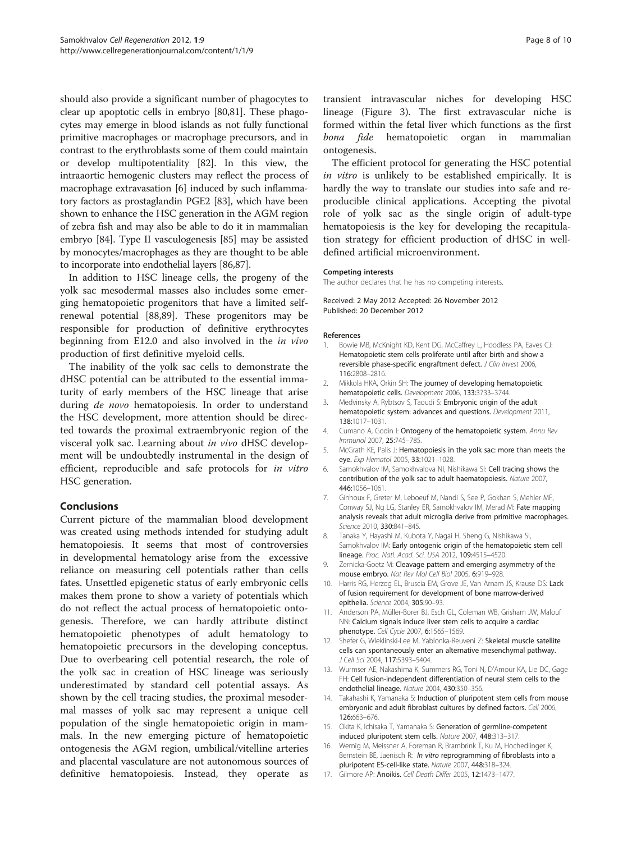<span id="page-7-0"></span>should also provide a significant number of phagocytes to clear up apoptotic cells in embryo [[80,81](#page-9-0)]. These phagocytes may emerge in blood islands as not fully functional primitive macrophages or macrophage precursors, and in contrast to the erythroblasts some of them could maintain or develop multipotentiality [\[82\]](#page-9-0). In this view, the intraaortic hemogenic clusters may reflect the process of macrophage extravasation [6] induced by such inflammatory factors as prostaglandin PGE2 [[83](#page-9-0)], which have been shown to enhance the HSC generation in the AGM region of zebra fish and may also be able to do it in mammalian embryo [[84](#page-9-0)]. Type II vasculogenesis [\[85](#page-9-0)] may be assisted by monocytes/macrophages as they are thought to be able to incorporate into endothelial layers [\[86,87](#page-9-0)].

In addition to HSC lineage cells, the progeny of the yolk sac mesodermal masses also includes some emerging hematopoietic progenitors that have a limited selfrenewal potential [\[88,89](#page-9-0)]. These progenitors may be responsible for production of definitive erythrocytes beginning from E12.0 and also involved in the in vivo production of first definitive myeloid cells.

The inability of the yolk sac cells to demonstrate the dHSC potential can be attributed to the essential immaturity of early members of the HSC lineage that arise during *de novo* hematopoiesis. In order to understand the HSC development, more attention should be directed towards the proximal extraembryonic region of the visceral yolk sac. Learning about in vivo dHSC development will be undoubtedly instrumental in the design of efficient, reproducible and safe protocols for in vitro HSC generation.

# Conclusions

Current picture of the mammalian blood development was created using methods intended for studying adult hematopoiesis. It seems that most of controversies in developmental hematology arise from the excessive reliance on measuring cell potentials rather than cells fates. Unsettled epigenetic status of early embryonic cells makes them prone to show a variety of potentials which do not reflect the actual process of hematopoietic ontogenesis. Therefore, we can hardly attribute distinct hematopoietic phenotypes of adult hematology to hematopoietic precursors in the developing conceptus. Due to overbearing cell potential research, the role of the yolk sac in creation of HSC lineage was seriously underestimated by standard cell potential assays. As shown by the cell tracing studies, the proximal mesodermal masses of yolk sac may represent a unique cell population of the single hematopoietic origin in mammals. In the new emerging picture of hematopoietic ontogenesis the AGM region, umbilical/vitelline arteries and placental vasculature are not autonomous sources of definitive hematopoiesis. Instead, they operate as

transient intravascular niches for developing HSC lineage (Figure [3\)](#page-6-0). The first extravascular niche is formed within the fetal liver which functions as the first bona fide hematopoietic organ in mammalian ontogenesis.

The efficient protocol for generating the HSC potential in vitro is unlikely to be established empirically. It is hardly the way to translate our studies into safe and reproducible clinical applications. Accepting the pivotal role of yolk sac as the single origin of adult-type hematopoiesis is the key for developing the recapitulation strategy for efficient production of dHSC in welldefined artificial microenvironment.

### Competing interests

The author declares that he has no competing interests.

Received: 2 May 2012 Accepted: 26 November 2012 Published: 20 December 2012

#### References

- 1. Bowie MB, McKnight KD, Kent DG, McCaffrey L, Hoodless PA, Eaves CJ: Hematopoietic stem cells proliferate until after birth and show a reversible phase-specific engraftment defect. J Clin Invest 2006, 116:2808–2816.
- 2. Mikkola HKA, Orkin SH: The journey of developing hematopoietic hematopoietic cells. Development 2006, 133:3733–3744.
- 3. Medvinsky A, Rybtsov S, Taoudi S: Embryonic origin of the adult hematopoietic system: advances and questions. Development 2011, 138:1017–1031.
- 4. Cumano A, Godin I: Ontogeny of the hematopoietic system. Annu Rev Immunol 2007, 25:745–785.
- 5. McGrath KE, Palis J: Hematopoiesis in the yolk sac: more than meets the eye. Exp Hematol 2005, 33:1021–1028.
- 6. Samokhvalov IM, Samokhvalova NI, Nishikawa SI: Cell tracing shows the contribution of the yolk sac to adult haematopoiesis. Nature 2007, 446:1056–1061.
- 7. Ginhoux F, Greter M, Leboeuf M, Nandi S, See P, Gokhan S, Mehler MF, Conway SJ, Ng LG, Stanley ER, Samokhvalov IM, Merad M: Fate mapping analysis reveals that adult microglia derive from primitive macrophages. Science 2010, 330:841–845.
- 8. Tanaka Y, Hayashi M, Kubota Y, Nagai H, Sheng G, Nishikawa SI, Samokhvalov IM: Early ontogenic origin of the hematopoietic stem cell lineage. Proc. Natl. Acad. Sci. USA 2012, 109:4515–4520.
- 9. Zernicka-Goetz M: Cleavage pattern and emerging asymmetry of the mouse embryo. Nat Rev Mol Cell Biol 2005, 6:919–928.
- 10. Harris RG, Herzog EL, Bruscia EM, Grove JE, Van Arnam JS, Krause DS: Lack of fusion requirement for development of bone marrow-derived epithelia. Science 2004, 305:90–93.
- 11. Anderson PA, Müller-Borer BJ, Esch GL, Coleman WB, Grisham JW, Malouf NN: Calcium signals induce liver stem cells to acquire a cardiac phenotype. Cell Cycle 2007, 6:1565–1569.
- 12. Shefer G, Wleklinski-Lee M, Yablonka-Reuveni Z: Skeletal muscle satellite cells can spontaneously enter an alternative mesenchymal pathway. J Cell Sci 2004, 117:5393–5404.
- 13. Wurmser AE, Nakashima K, Summers RG, Toni N, D'Amour KA, Lie DC, Gage FH: Cell fusion-independent differentiation of neural stem cells to the endothelial lineage. Nature 2004, 430:350–356.
- 14. Takahashi K, Yamanaka S: Induction of pluripotent stem cells from mouse embryonic and adult fibroblast cultures by defined factors. Cell 2006, 126:663–676.
- 15. Okita K, Ichisaka T, Yamanaka S: Generation of germline-competent induced pluripotent stem cells. Nature 2007, 448:313–317.
- 16. Wernig M, Meissner A, Foreman R, Brambrink T, Ku M, Hochedlinger K, Bernstein BE, Jaenisch R: In vitro reprogramming of fibroblasts into a pluripotent ES-cell-like state. Nature 2007, 448:318–324.
- 17. Gilmore AP: Anoikis. Cell Death Differ 2005, 12:1473–1477.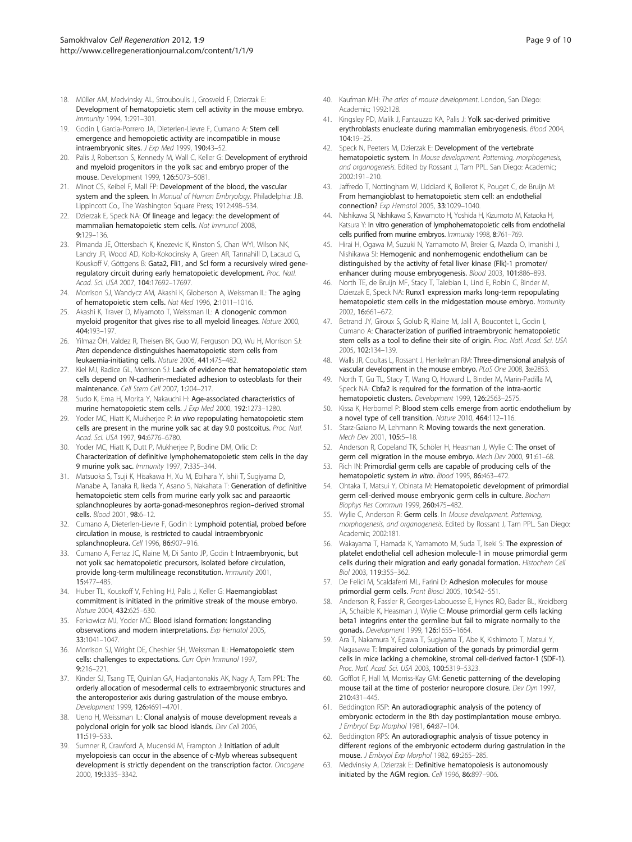- <span id="page-8-0"></span>18. Müller AM, Medvinsky AL, Strouboulis J, Grosveld F, Dzierzak E: Development of hematopoietic stem cell activity in the mouse embryo. Immunity 1994, 1:291–301.
- 19. Godin I, Garcia-Porrero JA, Dieterlen-Lievre F, Cumano A: Stem cell emergence and hemopoietic activity are incompatible in mouse intraembryonic sites. J Exp Med 1999, 190:43–52.
- 20. Palis J, Robertson S, Kennedy M, Wall C, Keller G: Development of erythroid and myeloid progenitors in the yolk sac and embryo proper of the mouse. Development 1999, 126:5073–5081.
- 21. Minot CS, Keibel F, Mall FP: Development of the blood, the vascular system and the spleen. In Manual of Human Embryology. Philadelphia: J.B. Lippincott Co., The Washington Square Press; 1912:498–534.
- 22. Dzierzak E, Speck NA: Of lineage and legacy: the development of mammalian hematopoietic stem cells. Nat Immunol 2008, 9:129–136.
- 23. Pimanda JE, Ottersbach K, Knezevic K, Kinston S, Chan WYI, Wilson NK, Landry JR, Wood AD, Kolb-Kokocinsky A, Green AR, Tannahill D, Lacaud G, Kouskoff V, Göttgens B: Gata2, Fli1, and Scl form a recursively wired generegulatory circuit during early hematopoietic development. Proc. Natl. Acad. Sci. USA 2007, 104:17692–17697.
- 24. Morrison SJ, Wandycz AM, Akashi K, Globerson A, Weissman IL: The aging of hematopoietic stem cells. Nat Med 1996, 2:1011–1016.
- 25. Akashi K, Traver D, Miyamoto T, Weissman IL: A clonogenic common myeloid progenitor that gives rise to all myeloid lineages. Nature 2000, 404:193–197.
- 26. Yilmaz ÖH, Valdez R, Theisen BK, Guo W, Ferguson DO, Wu H, Morrison SJ: Pten dependence distinguishes haematopoietic stem cells from leukaemia-initiating cells. Nature 2006, 441:475–482.
- 27. Kiel MJ, Radice GL, Morrison SJ: Lack of evidence that hematopoietic stem cells depend on N-cadherin-mediated adhesion to osteoblasts for their maintenance. Cell Stem Cell 2007, 1:204–217.
- 28. Sudo K, Ema H, Morita Y, Nakauchi H: Age-associated characteristics of murine hematopoietic stem cells. J Exp Med 2000, 192:1273–1280.
- 29. Yoder MC, Hiatt K, Mukherjee P: In vivo repopulating hematopoietic stem cells are present in the murine yolk sac at day 9.0 postcoitus. Proc. Natl. Acad. Sci. USA 1997, 94:6776–6780.
- 30. Yoder MC, Hiatt K, Dutt P, Mukherjee P, Bodine DM, Orlic D: Characterization of definitive lymphohematopoietic stem cells in the day 9 murine yolk sac. Immunity 1997, 7:335–344.
- 31. Matsuoka S, Tsuji K, Hisakawa H, Xu M, Ebihara Y, Ishii T, Sugiyama D, Manabe A, Tanaka R, Ikeda Y, Asano S, Nakahata T: Generation of definitive hematopoietic stem cells from murine early yolk sac and paraaortic splanchnopleures by aorta-gonad-mesonephros region–derived stromal cells. Blood 2001, 98:6–12.
- 32. Cumano A, Dieterlen-Lievre F, Godin I: Lymphoid potential, probed before circulation in mouse, is restricted to caudal intraembryonic splanchnopleura. Cell 1996, 86:907-916.
- 33. Cumano A, Ferraz JC, Klaine M, Di Santo JP, Godin I: Intraembryonic, but not yolk sac hematopoietic precursors, isolated before circulation, provide long-term multilineage reconstitution. Immunity 2001, 15:477–485.
- 34. Huber TL, Kouskoff V, Fehling HJ, Palis J, Keller G: Haemangioblast commitment is initiated in the primitive streak of the mouse embryo. Nature 2004, 432:625–630.
- 35. Ferkowicz MJ, Yoder MC: Blood island formation: longstanding observations and modern interpretations. Exp Hematol 2005, 33:1041–1047.
- 36. Morrison SJ, Wright DE, Cheshier SH, Weissman IL: Hematopoietic stem cells: challenges to expectations. Curr Opin Immunol 1997, 9:216–221.
- 37. Kinder SJ, Tsang TE, Quinlan GA, Hadjantonakis AK, Nagy A, Tam PPL: The orderly allocation of mesodermal cells to extraembryonic structures and the anteroposterior axis during gastrulation of the mouse embryo. Development 1999, 126:4691–4701.
- 38. Ueno H, Weissman IL: Clonal analysis of mouse development reveals a polyclonal origin for yolk sac blood islands. Dev Cell 2006, 11:519–533.
- 39. Sumner R, Crawford A, Mucenski M, Frampton J: Initiation of adult myelopoiesis can occur in the absence of c-Myb whereas subsequent development is strictly dependent on the transcription factor. Oncogene 2000, 19:3335–3342.
- 40. Kaufman MH: The atlas of mouse development. London, San Diego: Academic; 1992:128.
- 41. Kingsley PD, Malik J, Fantauzzo KA, Palis J: Yolk sac-derived primitive erythroblasts enucleate during mammalian embryogenesis. Blood 2004. 104:19–25.
- 42. Speck N, Peeters M, Dzierzak E: Development of the vertebrate hematopoietic system. In Mouse development. Patterning, morphogenesis, and organogenesis. Edited by Rossant J, Tam PPL. San Diego: Academic; 2002:191–210.
- 43. Jaffredo T, Nottingham W, Liddiard K, Bollerot K, Pouget C, de Bruijn M: From hemangioblast to hematopoietic stem cell: an endothelial connection? Exp Hematol 2005, 33:1029–1040.
- 44. Nishikawa SI, Nishikawa S, Kawamoto H, Yoshida H, Kizumoto M, Kataoka H, Katsura Y: In vitro generation of lymphohematopoietic cells from endothelial cells purified from murine embryos. Immunity 1998, 8:761–769.
- 45. Hirai H, Ogawa M, Suzuki N, Yamamoto M, Breier G, Mazda O, Imanishi J, Nishikawa SI: Hemogenic and nonhemogenic endothelium can be distinguished by the activity of fetal liver kinase (Flk)-1 promoter/ enhancer during mouse embryogenesis. Blood 2003, 101:886–893.
- 46. North TE, de Bruijn MF, Stacy T, Talebian L, Lind E, Robin C, Binder M, Dzierzak E, Speck NA: Runx1 expression marks long-term repopulating hematopoietic stem cells in the midgestation mouse embryo. Immunity 2002, 16:661–672.
- 47. Betrand JY, Giroux S, Golub R, Klaine M, Jalil A, Boucontet L, Godin I, Cumano A: Characterization of purified intraembryonic hematopoietic stem cells as a tool to define their site of origin. Proc. Natl. Acad. Sci. USA 2005, 102:134–139.
- 48. Walls JR, Coultas L, Rossant J, Henkelman RM: Three-dimensional analysis of vascular development in the mouse embryo. PLoS One 2008, 3:e2853.
- 49. North T, Gu TL, Stacy T, Wang Q, Howard L, Binder M, Marin-Padilla M, Speck NA: Cbfa2 is required for the formation of the intra-aortic hematopoietic clusters. Development 1999, 126:2563–2575.
- 50. Kissa K, Herbomel P: Blood stem cells emerge from aortic endothelium by a novel type of cell transition. Nature 2010, 464:112–116.
- 51. Starz-Gaiano M, Lehmann R: Moving towards the next generation. Mech Dev 2001, 105:5-18.
- 52. Anderson R, Copeland TK, Schöler H, Heasman J, Wylie C: The onset of germ cell migration in the mouse embryo. Mech Dev 2000, 91:61–68.
- 53. Rich IN: Primordial germ cells are capable of producing cells of the hematopoietic system in vitro. Blood 1995, 86:463-472.
- 54. Ohtaka T, Matsui Y, Obinata M: Hematopoietic development of primordial germ cell-derived mouse embryonic germ cells in culture. Biochem Biophys Res Commun 1999, 260:475–482.
- 55. Wylie C, Anderson R: Germ cells. In Mouse development. Patterning, morphogenesis, and organogenesis. Edited by Rossant J, Tam PPL. San Diego: Academic; 2002:181.
- 56. Wakayama T, Hamada K, Yamamoto M, Suda T, Iseki S: The expression of platelet endothelial cell adhesion molecule-1 in mouse primordial germ cells during their migration and early gonadal formation. Histochem Cell Biol 2003, 119:355–362.
- 57. De Felici M, Scaldaferri ML, Farini D: Adhesion molecules for mouse primordial germ cells. Front Biosci 2005, 10:542–551.
- 58. Anderson R, Fassler R, Georges-Labouesse E, Hynes RO, Bader BL, Kreidberg JA, Schaible K, Heasman J, Wylie C: Mouse primordial germ cells lacking beta1 integrins enter the germline but fail to migrate normally to the gonads. Development 1999, 126:1655–1664.
- Ara T, Nakamura Y, Egawa T, Sugiyama T, Abe K, Kishimoto T, Matsui Y, Nagasawa T: Impaired colonization of the gonads by primordial germ cells in mice lacking a chemokine, stromal cell-derived factor-1 (SDF-1). Proc. Natl. Acad. Sci. USA 2003, 100:5319–5323.
- 60. Gofflot F, Hall M, Morriss-Kay GM: Genetic patterning of the developing mouse tail at the time of posterior neuropore closure. Dev Dyn 1997, 210:431–445.
- 61. Beddington RSP: An autoradiographic analysis of the potency of embryonic ectoderm in the 8th day postimplantation mouse embryo. J Embryol Exp Morphol 1981, 64:87–104.
- 62. Beddington RPS: An autoradiographic analysis of tissue potency in different regions of the embryonic ectoderm during gastrulation in the mouse. J Embryol Exp Morphol 1982, 69:265–285.
- 63. Medvinsky A, Dzierzak E: Definitive hematopoiesis is autonomously initiated by the AGM region. Cell 1996, 86:897-906.